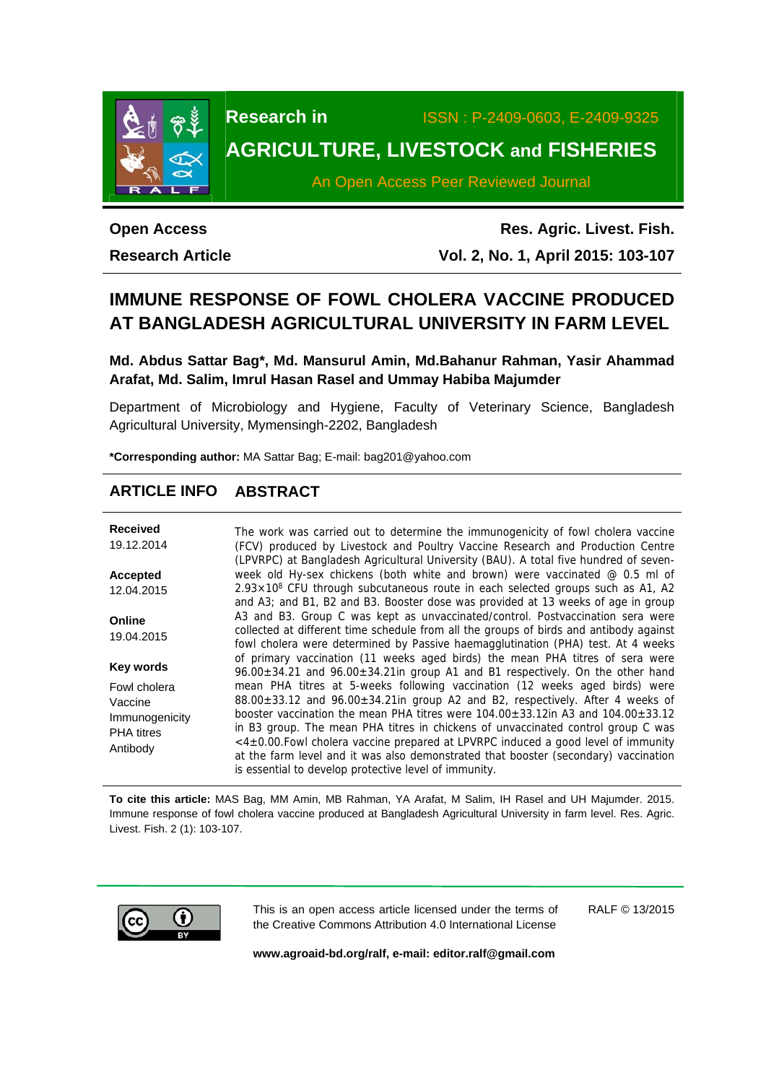

**Research in** ISSN : P-2409-0603, E-2409-9325

# **AGRICULTURE, LIVESTOCK and FISHERIES**

An Open Access Peer Reviewed Journal

**Open Access** 

**Research Article** 

**Res. Agric. Livest. Fish. Vol. 2, No. 1, April 2015: 103-107**

## **IMMUNE RESPONSE OF FOWL CHOLERA VACCINE PRODUCED AT BANGLADESH AGRICULTURAL UNIVERSITY IN FARM LEVEL**

**Md. Abdus Sattar Bag\*, Md. Mansurul Amin, Md.Bahanur Rahman, Yasir Ahammad Arafat, Md. Salim, Imrul Hasan Rasel and Ummay Habiba Majumder** 

Department of Microbiology and Hygiene, Faculty of Veterinary Science, Bangladesh Agricultural University, Mymensingh-2202, Bangladesh

**\*Corresponding author:** MA Sattar Bag; E-mail: bag201@yahoo.com

## **ARTICLE INFO ABSTRACT**

| <b>Received</b><br>19.12.2014                                              | The work was carried out to determine the immunogenicity of fowl cholera vaccine<br>(FCV) produced by Livestock and Poultry Vaccine Research and Production Centre<br>(LPVRPC) at Bangladesh Agricultural University (BAU). A total five hundred of seven-                                                                                                                                                                                                                                                                                                                                     |  |  |  |
|----------------------------------------------------------------------------|------------------------------------------------------------------------------------------------------------------------------------------------------------------------------------------------------------------------------------------------------------------------------------------------------------------------------------------------------------------------------------------------------------------------------------------------------------------------------------------------------------------------------------------------------------------------------------------------|--|--|--|
| <b>Accepted</b>                                                            | week old Hy-sex chickens (both white and brown) were vaccinated $@$ 0.5 ml of<br>$2.93 \times 10^8$ CFU through subcutaneous route in each selected groups such as A1, A2                                                                                                                                                                                                                                                                                                                                                                                                                      |  |  |  |
| 12.04.2015                                                                 | and A3; and B1, B2 and B3. Booster dose was provided at 13 weeks of age in group                                                                                                                                                                                                                                                                                                                                                                                                                                                                                                               |  |  |  |
| Online<br>19.04.2015                                                       | A3 and B3. Group C was kept as unvaccinated/control. Postvaccination sera were<br>collected at different time schedule from all the groups of birds and antibody against<br>fowl cholera were determined by Passive haemagglutination (PHA) test. At 4 weeks<br>of primary vaccination (11 weeks aged birds) the mean PHA titres of sera were<br>$96.00 \pm 34.21$ and $96.00 \pm 34.21$ in group A1 and B1 respectively. On the other hand                                                                                                                                                    |  |  |  |
| Key words                                                                  |                                                                                                                                                                                                                                                                                                                                                                                                                                                                                                                                                                                                |  |  |  |
| Fowl cholera<br>Vaccine<br>Immunogenicity<br><b>PHA</b> titres<br>Antibody | mean PHA titres at 5-weeks following vaccination (12 weeks aged birds) were<br>$88.00\pm33.12$ and $96.00\pm34.21$ in group A2 and B2, respectively. After 4 weeks of<br>booster vaccination the mean PHA titres were $104.00 \pm 33.12$ in A3 and $104.00 \pm 33.12$<br>in B3 group. The mean PHA titres in chickens of unvaccinated control group C was<br><4±0.00. Fowl cholera vaccine prepared at LPVRPC induced a good level of immunity<br>at the farm level and it was also demonstrated that booster (secondary) vaccination<br>is essential to develop protective level of immunity. |  |  |  |

**To cite this article:** MAS Bag, MM Amin, MB Rahman, YA Arafat, M Salim, IH Rasel and UH Majumder. 2015. Immune response of fowl cholera vaccine produced at Bangladesh Agricultural University in farm level. Res. Agric. Livest. Fish. 2 (1): 103-107.



This is an open access article licensed under the terms of the Creative Commons Attribution 4.0 International License

RALF © 13/2015

**www.agroaid-bd.org/ralf, e-mail: editor.ralf@gmail.com**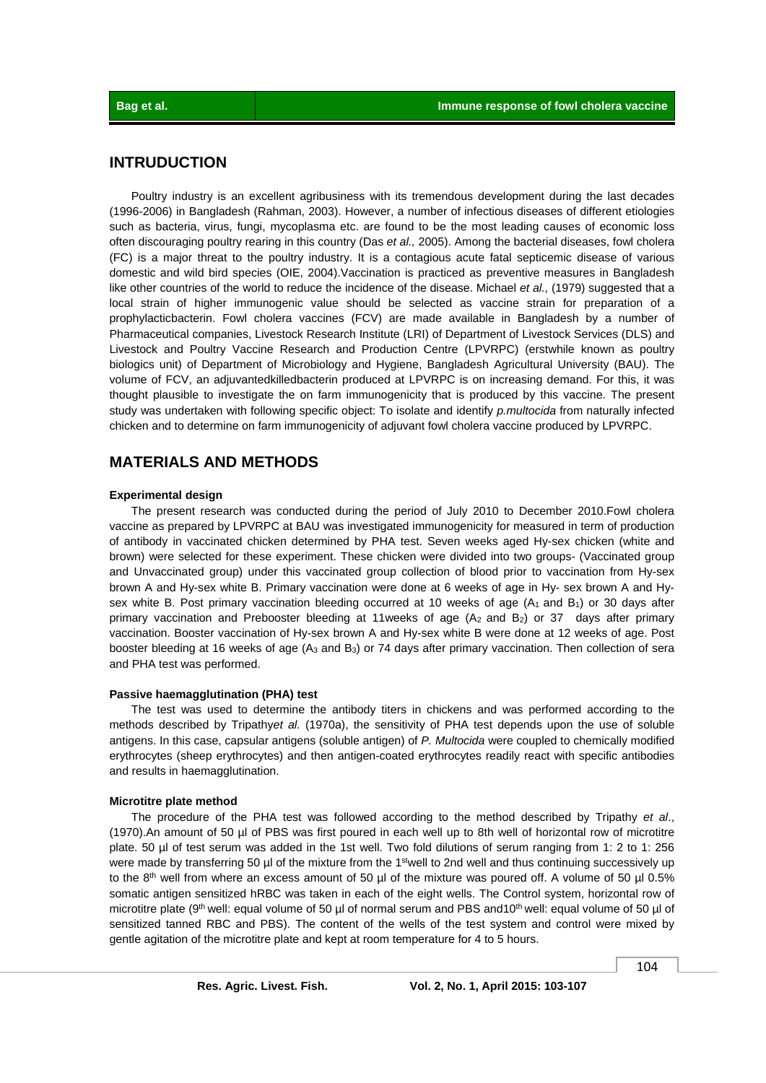## **INTRUDUCTION**

 Poultry industry is an excellent agribusiness with its tremendous development during the last decades (1996-2006) in Bangladesh (Rahman, 2003). However, a number of infectious diseases of different etiologies such as bacteria, virus, fungi, mycoplasma etc. are found to be the most leading causes of economic loss often discouraging poultry rearing in this country (Das *et al.,* 2005). Among the bacterial diseases, fowl cholera (FC) is a major threat to the poultry industry. It is a contagious acute fatal septicemic disease of various domestic and wild bird species (OIE, 2004).Vaccination is practiced as preventive measures in Bangladesh like other countries of the world to reduce the incidence of the disease. Michael *et al.,* (1979) suggested that a local strain of higher immunogenic value should be selected as vaccine strain for preparation of a prophylacticbacterin. Fowl cholera vaccines (FCV) are made available in Bangladesh by a number of Pharmaceutical companies, Livestock Research Institute (LRI) of Department of Livestock Services (DLS) and Livestock and Poultry Vaccine Research and Production Centre (LPVRPC) (erstwhile known as poultry biologics unit) of Department of Microbiology and Hygiene, Bangladesh Agricultural University (BAU). The volume of FCV, an adjuvantedkilledbacterin produced at LPVRPC is on increasing demand. For this, it was thought plausible to investigate the on farm immunogenicity that is produced by this vaccine. The present study was undertaken with following specific object: To isolate and identify *p.multocida* from naturally infected chicken and to determine on farm immunogenicity of adjuvant fowl cholera vaccine produced by LPVRPC.

### **MATERIALS AND METHODS**

#### **Experimental design**

 The present research was conducted during the period of July 2010 to December 2010.Fowl cholera vaccine as prepared by LPVRPC at BAU was investigated immunogenicity for measured in term of production of antibody in vaccinated chicken determined by PHA test. Seven weeks aged Hy-sex chicken (white and brown) were selected for these experiment. These chicken were divided into two groups- (Vaccinated group and Unvaccinated group) under this vaccinated group collection of blood prior to vaccination from Hy-sex brown A and Hy-sex white B. Primary vaccination were done at 6 weeks of age in Hy- sex brown A and Hysex white B. Post primary vaccination bleeding occurred at 10 weeks of age  $(A_1 \text{ and } B_1)$  or 30 days after primary vaccination and Prebooster bleeding at 11weeks of age  $(A<sub>2</sub>$  and B<sub>2</sub>) or 37 days after primary vaccination. Booster vaccination of Hy-sex brown A and Hy-sex white B were done at 12 weeks of age. Post booster bleeding at 16 weeks of age (A3 and B3) or 74 days after primary vaccination. Then collection of sera and PHA test was performed.

#### **Passive haemagglutination (PHA) test**

 The test was used to determine the antibody titers in chickens and was performed according to the methods described by Tripathy*et al.* (1970a), the sensitivity of PHA test depends upon the use of soluble antigens. In this case, capsular antigens (soluble antigen) of *P. Multocida* were coupled to chemically modified erythrocytes (sheep erythrocytes) and then antigen-coated erythrocytes readily react with specific antibodies and results in haemagglutination.

#### **Microtitre plate method**

 The procedure of the PHA test was followed according to the method described by Tripathy *et al*., (1970).An amount of 50 µl of PBS was first poured in each well up to 8th well of horizontal row of microtitre plate. 50 µl of test serum was added in the 1st well. Two fold dilutions of serum ranging from 1: 2 to 1: 256 were made by transferring 50 µl of the mixture from the 1<sup>st</sup>well to 2nd well and thus continuing successively up to the 8<sup>th</sup> well from where an excess amount of 50 µl of the mixture was poured off. A volume of 50 µl 0.5% somatic antigen sensitized hRBC was taken in each of the eight wells. The Control system, horizontal row of microtitre plate (9<sup>th</sup> well: equal volume of 50 µl of normal serum and PBS and10<sup>th</sup> well: equal volume of 50 µl of sensitized tanned RBC and PBS). The content of the wells of the test system and control were mixed by gentle agitation of the microtitre plate and kept at room temperature for 4 to 5 hours.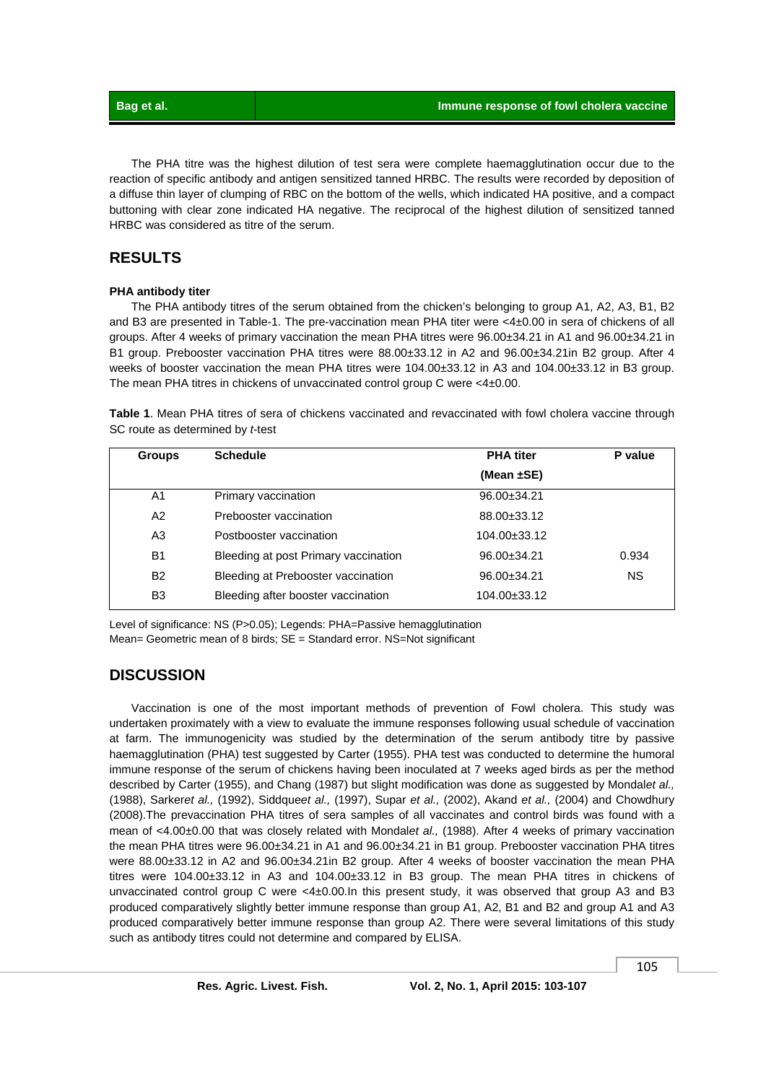The PHA titre was the highest dilution of test sera were complete haemagglutination occur due to the reaction of specific antibody and antigen sensitized tanned HRBC. The results were recorded by deposition of a diffuse thin layer of clumping of RBC on the bottom of the wells, which indicated HA positive, and a compact buttoning with clear zone indicated HA negative. The reciprocal of the highest dilution of sensitized tanned HRBC was considered as titre of the serum.

## **RESULTS**

#### **PHA antibody titer**

 The PHA antibody titres of the serum obtained from the chicken's belonging to group A1, A2, A3, B1, B2 and B3 are presented in Table-1. The pre-vaccination mean PHA titer were <4±0.00 in sera of chickens of all groups. After 4 weeks of primary vaccination the mean PHA titres were 96.00±34.21 in A1 and 96.00±34.21 in B1 group. Prebooster vaccination PHA titres were 88.00±33.12 in A2 and 96.00±34.21in B2 group. After 4 weeks of booster vaccination the mean PHA titres were 104.00±33.12 in A3 and 104.00±33.12 in B3 group. The mean PHA titres in chickens of unvaccinated control group C were <4±0.00.

**Table 1**. Mean PHA titres of sera of chickens vaccinated and revaccinated with fowl cholera vaccine through SC route as determined by *t*-test

| <b>Groups</b>  | <b>Schedule</b>                      | <b>PHA</b> titer   | P value |
|----------------|--------------------------------------|--------------------|---------|
|                |                                      | (Mean $\pm$ SE)    |         |
| A1             | Primary vaccination                  | $96.00 \pm 34.21$  |         |
| A2             | Prebooster vaccination               | 88.00±33.12        |         |
| A <sub>3</sub> | Postbooster vaccination              | $104.00 \pm 33.12$ |         |
| <b>B1</b>      | Bleeding at post Primary vaccination | $96.00 \pm 34.21$  | 0.934   |
| <b>B2</b>      | Bleeding at Prebooster vaccination   | $96.00 \pm 34.21$  | NS.     |
| B <sub>3</sub> | Bleeding after booster vaccination   | 104.00±33.12       |         |

Level of significance: NS (P>0.05); Legends: PHA=Passive hemagglutination Mean= Geometric mean of 8 birds; SE = Standard error. NS=Not significant

## **DISCUSSION**

 Vaccination is one of the most important methods of prevention of Fowl cholera. This study was undertaken proximately with a view to evaluate the immune responses following usual schedule of vaccination at farm. The immunogenicity was studied by the determination of the serum antibody titre by passive haemagglutination (PHA) test suggested by Carter (1955). PHA test was conducted to determine the humoral immune response of the serum of chickens having been inoculated at 7 weeks aged birds as per the method described by Carter (1955), and Chang (1987) but slight modification was done as suggested by Mondal*et al.,* (1988), Sarker*et al.,* (1992), Siddque*et al.,* (1997), Supar *et al.,* (2002), Akand *et al.,* (2004) and Chowdhury (2008).The prevaccination PHA titres of sera samples of all vaccinates and control birds was found with a mean of <4.00±0.00 that was closely related with Mondal*et al.,* (1988). After 4 weeks of primary vaccination the mean PHA titres were 96.00±34.21 in A1 and 96.00±34.21 in B1 group. Prebooster vaccination PHA titres were 88.00±33.12 in A2 and 96.00±34.21in B2 group. After 4 weeks of booster vaccination the mean PHA titres were 104.00±33.12 in A3 and 104.00±33.12 in B3 group. The mean PHA titres in chickens of unvaccinated control group C were <4±0.00.In this present study, it was observed that group A3 and B3 produced comparatively slightly better immune response than group A1, A2, B1 and B2 and group A1 and A3 produced comparatively better immune response than group A2. There were several limitations of this study such as antibody titres could not determine and compared by ELISA.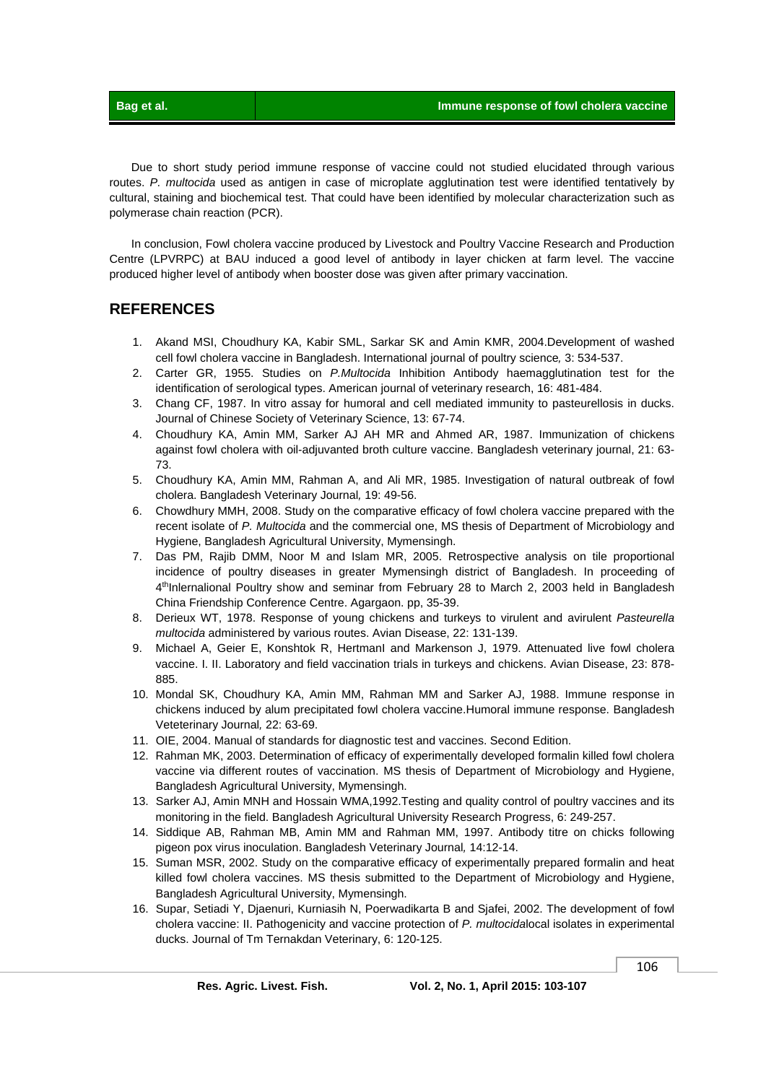Due to short study period immune response of vaccine could not studied elucidated through various routes. *P. multocida* used as antigen in case of microplate agglutination test were identified tentatively by cultural, staining and biochemical test. That could have been identified by molecular characterization such as polymerase chain reaction (PCR).

 In conclusion, Fowl cholera vaccine produced by Livestock and Poultry Vaccine Research and Production Centre (LPVRPC) at BAU induced a good level of antibody in layer chicken at farm level. The vaccine produced higher level of antibody when booster dose was given after primary vaccination.

## **REFERENCES**

- 1. Akand MSI, Choudhury KA, Kabir SML, Sarkar SK and Amin KMR, 2004.Development of washed cell fowl cholera vaccine in Bangladesh. International journal of poultry science*,* 3: 534-537.
- 2. Carter GR, 1955. Studies on *P.Multocida* Inhibition Antibody haemagglutination test for the identification of serological types. American journal of veterinary research, 16: 481-484.
- 3. Chang CF, 1987. In vitro assay for humoral and cell mediated immunity to pasteurellosis in ducks. Journal of Chinese Society of Veterinary Science, 13: 67-74.
- 4. Choudhury KA, Amin MM, Sarker AJ AH MR and Ahmed AR, 1987. Immunization of chickens against fowl cholera with oil-adjuvanted broth culture vaccine. Bangladesh veterinary journal, 21: 63- 73.
- 5. Choudhury KA, Amin MM, Rahman A, and Ali MR, 1985. Investigation of natural outbreak of fowl cholera. Bangladesh Veterinary Journal*,* 19: 49-56.
- 6. Chowdhury MMH, 2008. Study on the comparative efficacy of fowl cholera vaccine prepared with the recent isolate of *P. Multocida* and the commercial one, MS thesis of Department of Microbiology and Hygiene, Bangladesh Agricultural University, Mymensingh.
- 7. Das PM, Rajib DMM, Noor M and Islam MR, 2005. Retrospective analysis on tile proportional incidence of poultry diseases in greater Mymensingh district of Bangladesh. In proceeding of 4<sup>th</sup>Inlernalional Poultry show and seminar from February 28 to March 2, 2003 held in Bangladesh China Friendship Conference Centre. Agargaon. pp, 35-39.
- 8. Derieux WT, 1978. Response of young chickens and turkeys to virulent and avirulent *Pasteurella multocida* administered by various routes. Avian Disease, 22: 131-139.
- 9. Michael A, Geier E, Konshtok R, HertmanI and Markenson J, 1979. Attenuated live fowl cholera vaccine. I. II. Laboratory and field vaccination trials in turkeys and chickens. Avian Disease, 23: 878- 885.
- 10. Mondal SK, Choudhury KA, Amin MM, Rahman MM and Sarker AJ, 1988. Immune response in chickens induced by alum precipitated fowl cholera vaccine.Humoral immune response. Bangladesh Veteterinary Journal*,* 22: 63-69.
- 11. OIE, 2004. Manual of standards for diagnostic test and vaccines. Second Edition.
- 12. Rahman MK, 2003. Determination of efficacy of experimentally developed formalin killed fowl cholera vaccine via different routes of vaccination. MS thesis of Department of Microbiology and Hygiene, Bangladesh Agricultural University, Mymensingh.
- 13. Sarker AJ, Amin MNH and Hossain WMA,1992.Testing and quality control of poultry vaccines and its monitoring in the field. Bangladesh Agricultural University Research Progress, 6: 249-257.
- 14. Siddique AB, Rahman MB, Amin MM and Rahman MM, 1997. Antibody titre on chicks following pigeon pox virus inoculation. Bangladesh Veterinary Journal*,* 14:12-14.
- 15. Suman MSR, 2002. Study on the comparative efficacy of experimentally prepared formalin and heat killed fowl cholera vaccines. MS thesis submitted to the Department of Microbiology and Hygiene, Bangladesh Agricultural University, Mymensingh.
- 16. Supar, Setiadi Y, Djaenuri, Kurniasih N, Poerwadikarta B and Sjafei, 2002. The development of fowl cholera vaccine: II. Pathogenicity and vaccine protection of *P. multocida*local isolates in experimental ducks. Journal of Tm Ternakdan Veterinary, 6: 120-125.